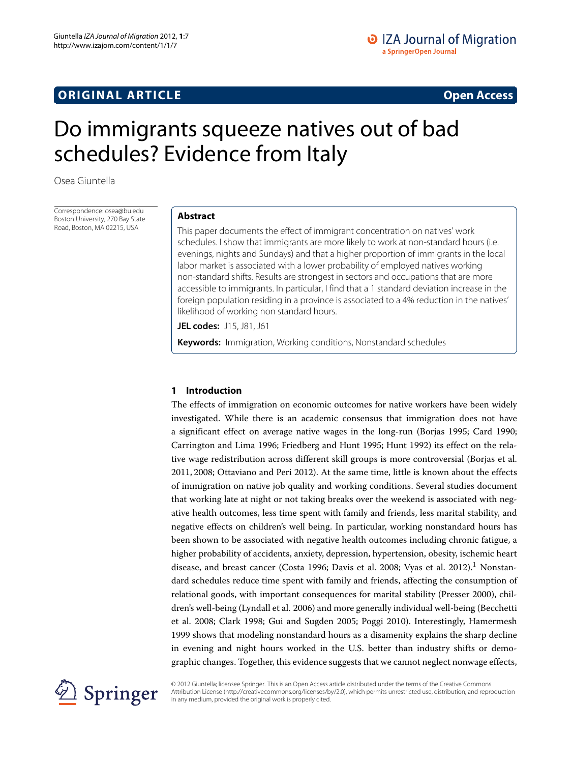# **ORIGINAL ARTICLE Open Access**

# Do immigrants squeeze natives out of bad schedules? Evidence from Italy

Osea Giuntella

Correspondence: osea@bu.edu Boston University, 270 Bay State Road, Boston, MA 02215, USA

# **Abstract**

This paper documents the effect of immigrant concentration on natives' work schedules. I show that immigrants are more likely to work at non-standard hours (i.e. evenings, nights and Sundays) and that a higher proportion of immigrants in the local labor market is associated with a lower probability of employed natives working non-standard shifts. Results are strongest in sectors and occupations that are more accessible to immigrants. In particular, I find that a 1 standard deviation increase in the foreign population residing in a province is associated to a 4% reduction in the natives' likelihood of working non standard hours.

**JEL codes:** J15, J81, J61

**Keywords:** Immigration, Working conditions, Nonstandard schedules

# **1 Introduction**

The effects of immigration on economic outcomes for native workers have been widely investigated. While there is an academic consensus that immigration does not have a significant effect on average native wages in the long-run (Borjas [1995;](#page-19-0) Card [1990;](#page-20-0) Carrington and Lima [1996;](#page-20-1) Friedberg and Hunt [1995;](#page-20-2) Hunt [1992\)](#page-20-3) its effect on the relative wage redistribution across different skill groups is more controversial (Borjas et al. [2011,](#page-20-4) [2008;](#page-19-1) Ottaviano and Peri [2012\)](#page-20-5). At the same time, little is known about the effects of immigration on native job quality and working conditions. Several studies document that working late at night or not taking breaks over the weekend is associated with negative health outcomes, less time spent with family and friends, less marital stability, and negative effects on children's well being. In particular, working nonstandard hours has been shown to be associated with negative health outcomes including chronic fatigue, a higher probability of accidents, anxiety, depression, hypertension, obesity, ischemic heart disease, and breast cancer (Costa [1996;](#page-20-6) Davis et al. [2008;](#page-20-7) Vyas et al. [2012\)](#page-20-8).<sup>1</sup> Nonstandard schedules reduce time spent with family and friends, affecting the consumption of relational goods, with important consequences for marital stability (Presser [2000\)](#page-20-9), children's well-being (Lyndall et al. [2006\)](#page-20-10) and more generally individual well-being (Becchetti et al. [2008;](#page-19-2) Clark [1998;](#page-20-11) Gui and Sugden [2005;](#page-20-12) Poggi [2010\)](#page-20-13). Interestingly, Hamermesh [1999](#page-20-14) shows that modeling nonstandard hours as a disamenity explains the sharp decline in evening and night hours worked in the U.S. better than industry shifts or demographic changes. Together, this evidence suggests that we cannot neglect nonwage effects,



© 2012 Giuntella; licensee Springer. This is an Open Access article distributed under the terms of the Creative Commons Attribution License (http://creativecommons.org/licenses/by/2.0), which permits unrestricted use, distribution, and reproduction in any medium, provided the original work is properly cited.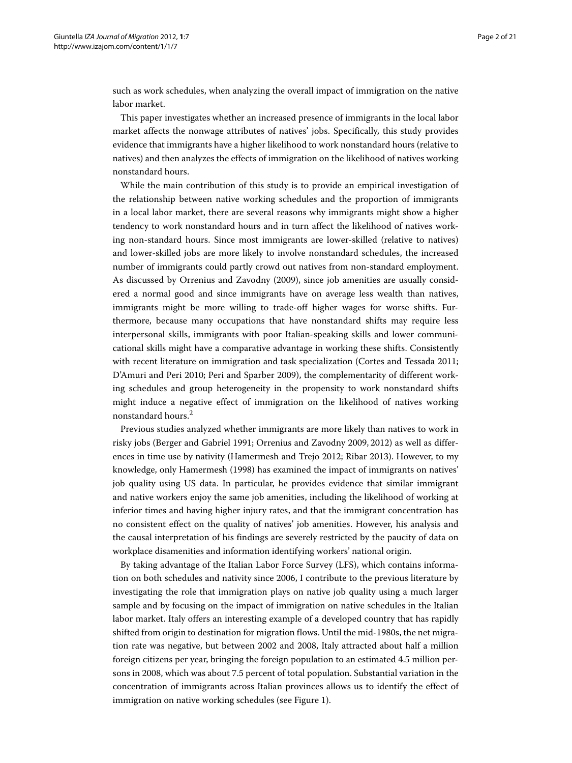such as work schedules, when analyzing the overall impact of immigration on the native labor market.

This paper investigates whether an increased presence of immigrants in the local labor market affects the nonwage attributes of natives' jobs. Specifically, this study provides evidence that immigrants have a higher likelihood to work nonstandard hours (relative to natives) and then analyzes the effects of immigration on the likelihood of natives working nonstandard hours.

While the main contribution of this study is to provide an empirical investigation of the relationship between native working schedules and the proportion of immigrants in a local labor market, there are several reasons why immigrants might show a higher tendency to work nonstandard hours and in turn affect the likelihood of natives working non-standard hours. Since most immigrants are lower-skilled (relative to natives) and lower-skilled jobs are more likely to involve nonstandard schedules, the increased number of immigrants could partly crowd out natives from non-standard employment. As discussed by Orrenius and Zavodny [\(2009\)](#page-20-15), since job amenities are usually considered a normal good and since immigrants have on average less wealth than natives, immigrants might be more willing to trade-off higher wages for worse shifts. Furthermore, because many occupations that have nonstandard shifts may require less interpersonal skills, immigrants with poor Italian-speaking skills and lower communicational skills might have a comparative advantage in working these shifts. Consistently with recent literature on immigration and task specialization (Cortes and Tessada [2011;](#page-20-16) D'Amuri and Peri [2010;](#page-20-17) Peri and Sparber [2009\)](#page-20-18), the complementarity of different working schedules and group heterogeneity in the propensity to work nonstandard shifts might induce a negative effect of immigration on the likelihood of natives working nonstandard hours.2

Previous studies analyzed whether immigrants are more likely than natives to work in risky jobs (Berger and Gabriel [1991;](#page-19-3) Orrenius and Zavodny [2009,](#page-20-15) [2012\)](#page-20-19) as well as differences in time use by nativity (Hamermesh and Trejo [2012;](#page-20-20) Ribar [2013\)](#page-20-21). However, to my knowledge, only Hamermesh [\(1998\)](#page-20-22) has examined the impact of immigrants on natives' job quality using US data. In particular, he provides evidence that similar immigrant and native workers enjoy the same job amenities, including the likelihood of working at inferior times and having higher injury rates, and that the immigrant concentration has no consistent effect on the quality of natives' job amenities. However, his analysis and the causal interpretation of his findings are severely restricted by the paucity of data on workplace disamenities and information identifying workers' national origin.

By taking advantage of the Italian Labor Force Survey (LFS), which contains information on both schedules and nativity since 2006, I contribute to the previous literature by investigating the role that immigration plays on native job quality using a much larger sample and by focusing on the impact of immigration on native schedules in the Italian labor market. Italy offers an interesting example of a developed country that has rapidly shifted from origin to destination for migration flows. Until the mid-1980s, the net migration rate was negative, but between 2002 and 2008, Italy attracted about half a million foreign citizens per year, bringing the foreign population to an estimated 4.5 million persons in 2008, which was about 7.5 percent of total population. Substantial variation in the concentration of immigrants across Italian provinces allows us to identify the effect of immigration on native working schedules (see Figure [1\)](#page-2-0).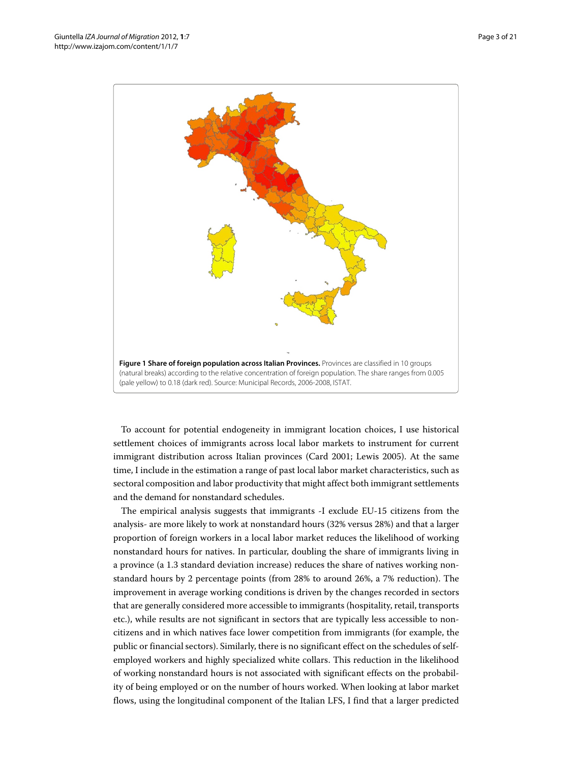

<span id="page-2-0"></span>To account for potential endogeneity in immigrant location choices, I use historical settlement choices of immigrants across local labor markets to instrument for current immigrant distribution across Italian provinces (Card [2001;](#page-20-23) Lewis [2005\)](#page-20-24). At the same time, I include in the estimation a range of past local labor market characteristics, such as sectoral composition and labor productivity that might affect both immigrant settlements and the demand for nonstandard schedules.

The empirical analysis suggests that immigrants -I exclude EU-15 citizens from the analysis- are more likely to work at nonstandard hours (32% versus 28%) and that a larger proportion of foreign workers in a local labor market reduces the likelihood of working nonstandard hours for natives. In particular, doubling the share of immigrants living in a province (a 1.3 standard deviation increase) reduces the share of natives working nonstandard hours by 2 percentage points (from 28% to around 26%, a 7% reduction). The improvement in average working conditions is driven by the changes recorded in sectors that are generally considered more accessible to immigrants (hospitality, retail, transports etc.), while results are not significant in sectors that are typically less accessible to noncitizens and in which natives face lower competition from immigrants (for example, the public or financial sectors). Similarly, there is no significant effect on the schedules of selfemployed workers and highly specialized white collars. This reduction in the likelihood of working nonstandard hours is not associated with significant effects on the probability of being employed or on the number of hours worked. When looking at labor market flows, using the longitudinal component of the Italian LFS, I find that a larger predicted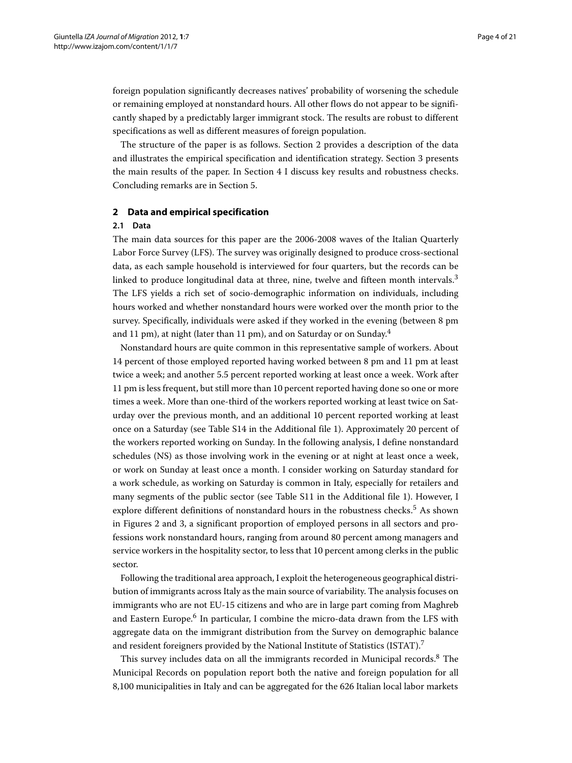foreign population significantly decreases natives' probability of worsening the schedule or remaining employed at nonstandard hours. All other flows do not appear to be significantly shaped by a predictably larger immigrant stock. The results are robust to different specifications as well as different measures of foreign population.

The structure of the paper is as follows. Section [2](#page-3-0) provides a description of the data and illustrates the empirical specification and identification strategy. Section [3](#page-7-0) presents the main results of the paper. In Section [4](#page-15-0) I discuss key results and robustness checks. Concluding remarks are in Section [5.](#page-16-0)

# <span id="page-3-0"></span>**2 Data and empirical specification**

# **2.1 Data**

The main data sources for this paper are the 2006-2008 waves of the Italian Quarterly Labor Force Survey (LFS). The survey was originally designed to produce cross-sectional data, as each sample household is interviewed for four quarters, but the records can be linked to produce longitudinal data at three, nine, twelve and fifteen month intervals.<sup>3</sup> The LFS yields a rich set of socio-demographic information on individuals, including hours worked and whether nonstandard hours were worked over the month prior to the survey. Specifically, individuals were asked if they worked in the evening (between 8 pm and 11 pm), at night (later than 11 pm), and on Saturday or on Sunday.<sup>4</sup>

Nonstandard hours are quite common in this representative sample of workers. About 14 percent of those employed reported having worked between 8 pm and 11 pm at least twice a week; and another 5.5 percent reported working at least once a week. Work after 11 pm is less frequent, but still more than 10 percent reported having done so one or more times a week. More than one-third of the workers reported working at least twice on Saturday over the previous month, and an additional 10 percent reported working at least once on a Saturday (see Table S14 in the Additional file [1\)](#page-19-4). Approximately 20 percent of the workers reported working on Sunday. In the following analysis, I define nonstandard schedules (NS) as those involving work in the evening or at night at least once a week, or work on Sunday at least once a month. I consider working on Saturday standard for a work schedule, as working on Saturday is common in Italy, especially for retailers and many segments of the public sector (see Table S11 in the Additional file [1\)](#page-19-4). However, I explore different definitions of nonstandard hours in the robustness checks.<sup>5</sup> As shown in Figures [2](#page-4-0) and [3,](#page-4-1) a significant proportion of employed persons in all sectors and professions work nonstandard hours, ranging from around 80 percent among managers and service workers in the hospitality sector, to less that 10 percent among clerks in the public sector.

Following the traditional area approach, I exploit the heterogeneous geographical distribution of immigrants across Italy as the main source of variability. The analysis focuses on immigrants who are not EU-15 citizens and who are in large part coming from Maghreb and Eastern Europe.<sup>6</sup> In particular, I combine the micro-data drawn from the LFS with aggregate data on the immigrant distribution from the Survey on demographic balance and resident foreigners provided by the National Institute of Statistics (ISTAT).<sup>7</sup>

This survey includes data on all the immigrants recorded in Municipal records.<sup>8</sup> The Municipal Records on population report both the native and foreign population for all 8,100 municipalities in Italy and can be aggregated for the 626 Italian local labor markets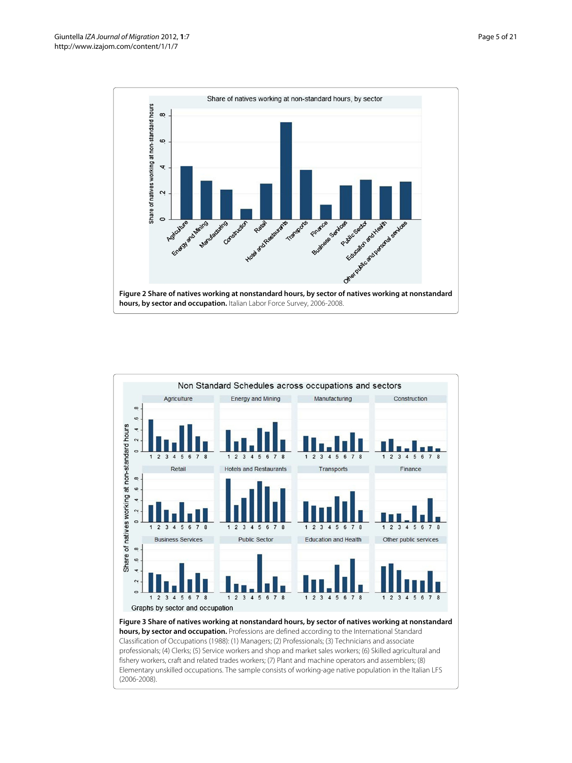

<span id="page-4-1"></span><span id="page-4-0"></span>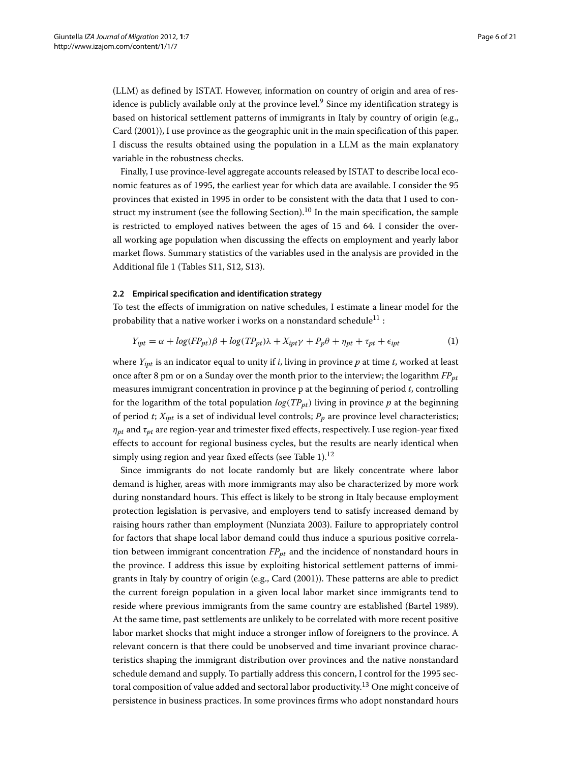(LLM) as defined by ISTAT. However, information on country of origin and area of residence is publicly available only at the province level.<sup>9</sup> Since my identification strategy is based on historical settlement patterns of immigrants in Italy by country of origin (e.g., Card [\(2001\)](#page-20-23)), I use province as the geographic unit in the main specification of this paper. I discuss the results obtained using the population in a LLM as the main explanatory variable in the robustness checks.

Finally, I use province-level aggregate accounts released by ISTAT to describe local economic features as of 1995, the earliest year for which data are available. I consider the 95 provinces that existed in 1995 in order to be consistent with the data that I used to construct my instrument (see the following Section).<sup>10</sup> In the main specification, the sample is restricted to employed natives between the ages of 15 and 64. I consider the overall working age population when discussing the effects on employment and yearly labor market flows. Summary statistics of the variables used in the analysis are provided in the Additional file [1](#page-19-4) (Tables S11, S12, S13).

# **2.2 Empirical specification and identification strategy**

To test the effects of immigration on native schedules, I estimate a linear model for the probability that a native worker i works on a nonstandard schedule<sup>11</sup>:

$$
Y_{ipt} = \alpha + \log (FP_{pt})\beta + \log (TP_{pt})\lambda + X_{ipt}\gamma + P_p\theta + \eta_{pt} + \tau_{pt} + \epsilon_{ipt}
$$
 (1)

where *Yipt* is an indicator equal to unity if *i*, living in province *p* at time *t*, worked at least once after 8 pm or on a Sunday over the month prior to the interview; the logarithm  $FP_{nt}$ measures immigrant concentration in province p at the beginning of period *t*, controlling for the logarithm of the total population  $log(TP_{pt})$  living in province  $p$  at the beginning of period  $t$ ;  $X_{\text{int}}$  is a set of individual level controls;  $P_p$  are province level characteristics; *ηpt* and *τpt* are region-year and trimester fixed effects, respectively. I use region-year fixed effects to account for regional business cycles, but the results are nearly identical when simply using region and year fixed effects (see Table [1\)](#page-6-0).<sup>12</sup>

Since immigrants do not locate randomly but are likely concentrate where labor demand is higher, areas with more immigrants may also be characterized by more work during nonstandard hours. This effect is likely to be strong in Italy because employment protection legislation is pervasive, and employers tend to satisfy increased demand by raising hours rather than employment (Nunziata [2003\)](#page-20-25). Failure to appropriately control for factors that shape local labor demand could thus induce a spurious positive correlation between immigrant concentration  $FP_{pt}$  and the incidence of nonstandard hours in the province. I address this issue by exploiting historical settlement patterns of immigrants in Italy by country of origin (e.g., Card [\(2001\)](#page-20-23)). These patterns are able to predict the current foreign population in a given local labor market since immigrants tend to reside where previous immigrants from the same country are established (Bartel [1989\)](#page-19-5). At the same time, past settlements are unlikely to be correlated with more recent positive labor market shocks that might induce a stronger inflow of foreigners to the province. A relevant concern is that there could be unobserved and time invariant province characteristics shaping the immigrant distribution over provinces and the native nonstandard schedule demand and supply. To partially address this concern, I control for the 1995 sectoral composition of value added and sectoral labor productivity.<sup>13</sup> One might conceive of persistence in business practices. In some provinces firms who adopt nonstandard hours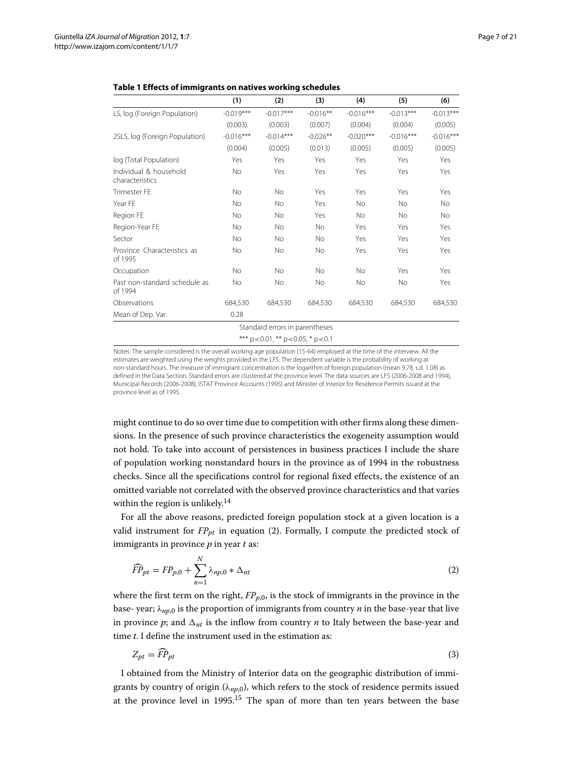|                                           | (1)         | (2)                            | (3)        | (4)         | (5)         | (6)         |
|-------------------------------------------|-------------|--------------------------------|------------|-------------|-------------|-------------|
|                                           |             |                                |            |             |             |             |
| LS, log (Foreign Population)              | $-0.019***$ | $-0.017***$                    | $-0.016**$ | $-0.016***$ | $-0.013***$ | $-0.013***$ |
|                                           | (0.003)     | (0.003)                        | (0.007)    | (0.004)     | (0.004)     | (0.005)     |
| 2SLS, log (Foreign Population)            | $-0.016***$ | $-0.014***$                    | $-0.026**$ | $-0.020***$ | $-0.016***$ | $-0.016***$ |
|                                           | (0.004)     | (0.005)                        | (0.013)    | (0.005)     | (0.005)     | (0.005)     |
| log (Total Population)                    | Yes         | Yes                            | Yes        | Yes         | Yes         | Yes         |
| Individual & household<br>characteristics | <b>No</b>   | Yes                            | Yes        | Yes         | Yes         | Yes         |
| <b>Trimester FE</b>                       | <b>No</b>   | No                             | Yes        | Yes         | Yes         | Yes         |
| Year FE                                   | <b>No</b>   | No                             | Yes        | <b>No</b>   | <b>No</b>   | <b>No</b>   |
| Region FE                                 | No          | No                             | Yes        | <b>No</b>   | <b>No</b>   | No          |
| Region-Year FE                            | No          | No                             | <b>No</b>  | Yes         | Yes         | Yes         |
| Sector                                    | No          | No                             | No         | Yes         | Yes         | Yes         |
| Province Characteristics as<br>of 1995    | <b>No</b>   | No                             | <b>No</b>  | Yes         | Yes         | Yes         |
| Occupation                                | <b>No</b>   | No                             | <b>No</b>  | <b>No</b>   | Yes         | Yes         |
| Past non-standard schedule as<br>of 1994  | <b>No</b>   | No                             | <b>No</b>  | <b>No</b>   | <b>No</b>   | Yes         |
| Observations                              | 684,530     | 684,530                        | 684,530    | 684,530     | 684,530     | 684,530     |
| Mean of Dep. Var.                         | 0.28        |                                |            |             |             |             |
|                                           |             | Standard errors in parentheses |            |             |             |             |

# <span id="page-6-2"></span><span id="page-6-0"></span>**Table 1 Effects of immigrants on natives working schedules**

\*\*\* p*<*0.01, \*\* p*<*0.05, \* p*<*0.1

Notes: The sample considered is the overall working age population (15-64) employed at the time of the interview. All the estimates are weighted using the weights provided in the LFS. The dependent variable is the probability of working at non-standard hours. The measure of immigrant concentration is the logarithm of foreign population (mean 9.78, s.d. 1.08) as defined in the Data Section. Standard errors are clustered at the province level. The data sources are LFS (2006-2008 and 1994), Municipal Records (2006-2008), ISTAT Province Accounts (1995) and Minister of Interior for Residence Permits issued at the province level as of 1995.

might continue to do so over time due to competition with other firms along these dimensions. In the presence of such province characteristics the exogeneity assumption would not hold. To take into account of persistences in business practices I include the share of population working nonstandard hours in the province as of 1994 in the robustness checks. Since all the specifications control for regional fixed effects, the existence of an omitted variable not correlated with the observed province characteristics and that varies within the region is unlikely.<sup>14</sup>

For all the above reasons, predicted foreign population stock at a given location is a valid instrument for  $FP_{pt}$  in equation [\(2\)](#page-6-1). Formally, I compute the predicted stock of immigrants in province *p* in year *t* as:

<span id="page-6-1"></span>
$$
\widehat{FP}_{pt} = FP_{p,0} + \sum_{n=1}^{N} \lambda_{np,0} * \Delta_{nt}
$$
\n(2)

where the first term on the right,  $FP_{p,0}$ , is the stock of immigrants in the province in the base- year; *λnp*,0 is the proportion of immigrants from country *n* in the base-year that live in province  $p$ ; and  $\Delta_{nt}$  is the inflow from country  $n$  to Italy between the base-year and time *t*. I define the instrument used in the estimation as:

$$
Z_{pt} = \widehat{FP}_{pt} \tag{3}
$$

I obtained from the Ministry of Interior data on the geographic distribution of immigrants by country of origin (*λnp*,0), which refers to the stock of residence permits issued at the province level in  $1995$ <sup>15</sup>. The span of more than ten years between the base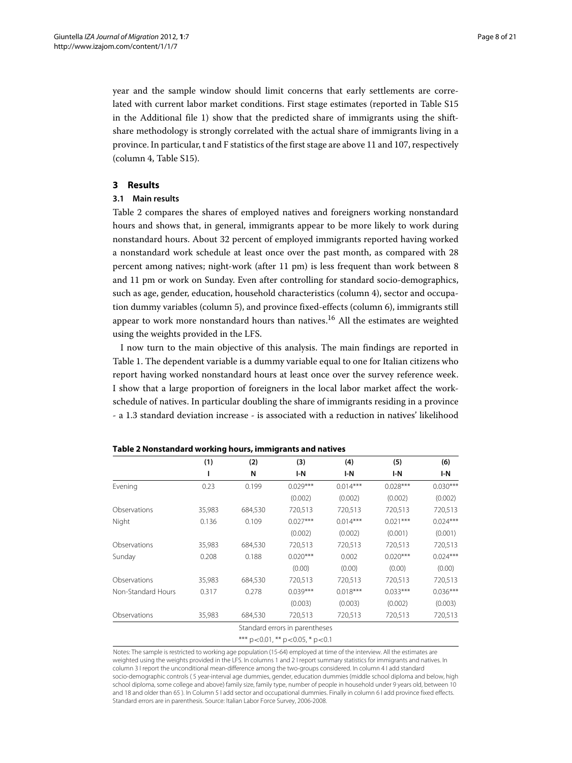year and the sample window should limit concerns that early settlements are correlated with current labor market conditions. First stage estimates (reported in Table S15 in the Additional file [1\)](#page-19-4) show that the predicted share of immigrants using the shiftshare methodology is strongly correlated with the actual share of immigrants living in a province. In particular, t and F statistics of the first stage are above 11 and 107, respectively (column 4, Table S15).

# <span id="page-7-0"></span>**3 Results**

# **3.1 Main results**

Table [2](#page-7-1) compares the shares of employed natives and foreigners working nonstandard hours and shows that, in general, immigrants appear to be more likely to work during nonstandard hours. About 32 percent of employed immigrants reported having worked a nonstandard work schedule at least once over the past month, as compared with 28 percent among natives; night-work (after 11 pm) is less frequent than work between 8 and 11 pm or work on Sunday. Even after controlling for standard socio-demographics, such as age, gender, education, household characteristics (column 4), sector and occupation dummy variables (column 5), and province fixed-effects (column 6), immigrants still appear to work more nonstandard hours than natives.<sup>16</sup> All the estimates are weighted using the weights provided in the LFS.

I now turn to the main objective of this analysis. The main findings are reported in Table [1.](#page-6-0) The dependent variable is a dummy variable equal to one for Italian citizens who report having worked nonstandard hours at least once over the survey reference week. I show that a large proportion of foreigners in the local labor market affect the workschedule of natives. In particular doubling the share of immigrants residing in a province - a 1.3 standard deviation increase - is associated with a reduction in natives' likelihood

<span id="page-7-1"></span>

|                    | (1)    | (2)     | (3)                                          | (4)        | (5)        | (6)        |
|--------------------|--------|---------|----------------------------------------------|------------|------------|------------|
|                    | ı      | N       | I-N                                          | I-N        | I-N        | I-N        |
| Evening            | 0.23   | 0.199   | $0.029***$                                   | $0.014***$ | $0.028***$ | $0.030***$ |
|                    |        |         | (0.002)                                      | (0.002)    | (0.002)    | (0.002)    |
| Observations       | 35,983 | 684,530 | 720,513                                      | 720,513    | 720,513    | 720,513    |
| Night              | 0.136  | 0.109   | $0.027***$                                   | $0.014***$ | $0.021***$ | $0.024***$ |
|                    |        |         | (0.002)                                      | (0.002)    | (0.001)    | (0.001)    |
| Observations       | 35,983 | 684,530 | 720,513                                      | 720,513    | 720,513    | 720,513    |
| Sunday             | 0.208  | 0.188   | $0.020***$                                   | 0.002      | $0.020***$ | $0.024***$ |
|                    |        |         | (0.00)                                       | (0.00)     | (0.00)     | (0.00)     |
| Observations       | 35,983 | 684,530 | 720,513                                      | 720,513    | 720,513    | 720,513    |
| Non-Standard Hours | 0.317  | 0.278   | $0.039***$                                   | $0.018***$ | $0.033***$ | $0.036***$ |
|                    |        |         | (0.003)                                      | (0.003)    | (0.002)    | (0.003)    |
| Observations       | 35,983 | 684,530 | 720,513                                      | 720,513    | 720,513    | 720,513    |
|                    |        |         | Standard errors in parentheses               |            |            |            |
|                    |        |         | *** $p < 0.01$ , ** $p < 0.05$ , * $p < 0.1$ |            |            |            |

**Table 2 Nonstandard working hours, immigrants and natives**

Notes: The sample is restricted to working age population (15-64) employed at time of the interview. All the estimates are weighted using the weights provided in the LFS. In columns 1 and 2 I report summary statistics for immigrants and natives. In column 3 I report the unconditional mean-difference among the two-groups considered. In column 4 I add standard socio-demographic controls ( 5 year-interval age dummies, gender, education dummies (middle school diploma and below, high school diploma, some college and above) family size, family type, number of people in household under 9 years old, between 10 and 18 and older than 65 ). In Column 5 I add sector and occupational dummies. Finally in column 6 I add province fixed effects. Standard errors are in parenthesis. Source: Italian Labor Force Survey, 2006-2008.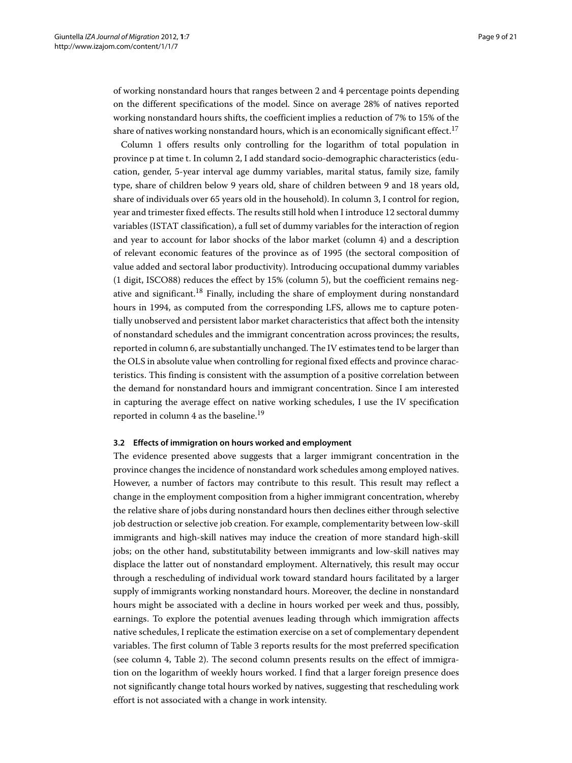of working nonstandard hours that ranges between 2 and 4 percentage points depending on the different specifications of the model. Since on average 28% of natives reported working nonstandard hours shifts, the coefficient implies a reduction of 7% to 15% of the share of natives working nonstandard hours, which is an economically significant effect.<sup>17</sup>

Column 1 offers results only controlling for the logarithm of total population in province p at time t. In column 2, I add standard socio-demographic characteristics (education, gender, 5-year interval age dummy variables, marital status, family size, family type, share of children below 9 years old, share of children between 9 and 18 years old, share of individuals over 65 years old in the household). In column 3, I control for region, year and trimester fixed effects. The results still hold when I introduce 12 sectoral dummy variables (ISTAT classification), a full set of dummy variables for the interaction of region and year to account for labor shocks of the labor market (column 4) and a description of relevant economic features of the province as of 1995 (the sectoral composition of value added and sectoral labor productivity). Introducing occupational dummy variables (1 digit, ISCO88) reduces the effect by 15% (column 5), but the coefficient remains negative and significant.<sup>18</sup> Finally, including the share of employment during nonstandard hours in 1994, as computed from the corresponding LFS, allows me to capture potentially unobserved and persistent labor market characteristics that affect both the intensity of nonstandard schedules and the immigrant concentration across provinces; the results, reported in column 6, are substantially unchanged. The IV estimates tend to be larger than the OLS in absolute value when controlling for regional fixed effects and province characteristics. This finding is consistent with the assumption of a positive correlation between the demand for nonstandard hours and immigrant concentration. Since I am interested in capturing the average effect on native working schedules, I use the IV specification reported in column 4 as the baseline.<sup>19</sup>

# **3.2 Effects of immigration on hours worked and employment**

The evidence presented above suggests that a larger immigrant concentration in the province changes the incidence of nonstandard work schedules among employed natives. However, a number of factors may contribute to this result. This result may reflect a change in the employment composition from a higher immigrant concentration, whereby the relative share of jobs during nonstandard hours then declines either through selective job destruction or selective job creation. For example, complementarity between low-skill immigrants and high-skill natives may induce the creation of more standard high-skill jobs; on the other hand, substitutability between immigrants and low-skill natives may displace the latter out of nonstandard employment. Alternatively, this result may occur through a rescheduling of individual work toward standard hours facilitated by a larger supply of immigrants working nonstandard hours. Moreover, the decline in nonstandard hours might be associated with a decline in hours worked per week and thus, possibly, earnings. To explore the potential avenues leading through which immigration affects native schedules, I replicate the estimation exercise on a set of complementary dependent variables. The first column of Table [3](#page-9-0) reports results for the most preferred specification (see column 4, Table [2\)](#page-7-1). The second column presents results on the effect of immigration on the logarithm of weekly hours worked. I find that a larger foreign presence does not significantly change total hours worked by natives, suggesting that rescheduling work effort is not associated with a change in work intensity.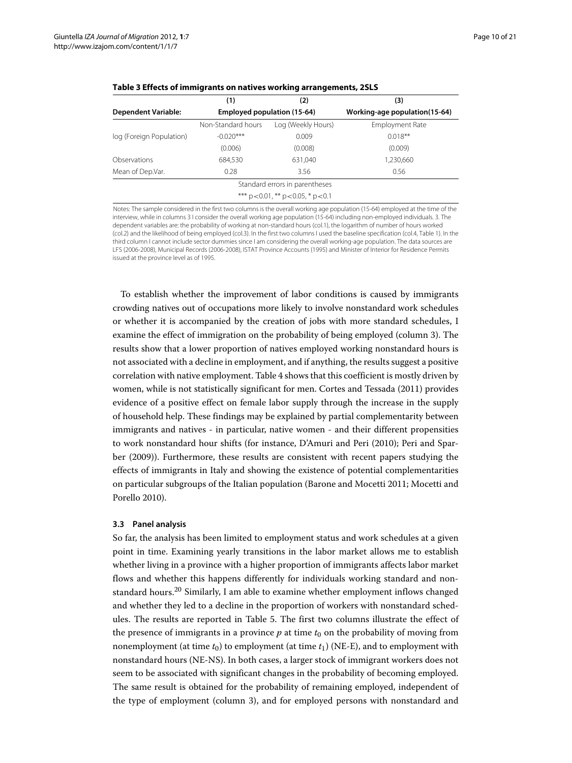| (1)                                          | (2)                | (3)                                                           |  |  |  |  |  |
|----------------------------------------------|--------------------|---------------------------------------------------------------|--|--|--|--|--|
|                                              |                    | Working-age population(15-64)                                 |  |  |  |  |  |
| Non-Standard hours                           | Log (Weekly Hours) | Employment Rate                                               |  |  |  |  |  |
| $-0.020***$                                  | 0.009              | $0.018**$                                                     |  |  |  |  |  |
| (0.006)                                      | (0.008)            | (0.009)                                                       |  |  |  |  |  |
| 684.530                                      | 631.040            | 1,230,660                                                     |  |  |  |  |  |
| 0.28                                         | 3.56               | 0.56                                                          |  |  |  |  |  |
|                                              |                    |                                                               |  |  |  |  |  |
| *** $p < 0.01$ , ** $p < 0.05$ , * $p < 0.1$ |                    |                                                               |  |  |  |  |  |
|                                              |                    | Employed population (15-64)<br>Standard errors in parentheses |  |  |  |  |  |

<span id="page-9-0"></span>

|  | Table 3 Effects of immigrants on natives working arrangements, 2SLS |
|--|---------------------------------------------------------------------|
|  |                                                                     |

Notes: The sample considered in the first two columns is the overall working age population (15-64) employed at the time of the interview, while in columns 3 I consider the overall working age population (15-64) including non-employed individuals. 3. The dependent variables are: the probability of working at non-standard hours (col.1), the logarithm of number of hours worked (col.2) and the likelihood of being employed (col.3). In the first two columns I used the baseline specification (col.4, Table [1\)](#page-6-0). In the third column I cannot include sector dummies since I am considering the overall working-age population. The data sources are LFS (2006-2008), Municipal Records (2006-2008), ISTAT Province Accounts (1995) and Minister of Interior for Residence Permits issued at the province level as of 1995.

To establish whether the improvement of labor conditions is caused by immigrants crowding natives out of occupations more likely to involve nonstandard work schedules or whether it is accompanied by the creation of jobs with more standard schedules, I examine the effect of immigration on the probability of being employed (column 3). The results show that a lower proportion of natives employed working nonstandard hours is not associated with a decline in employment, and if anything, the results suggest a positive correlation with native employment. Table [4](#page-10-0) shows that this coefficient is mostly driven by women, while is not statistically significant for men. Cortes and Tessada [\(2011\)](#page-20-16) provides evidence of a positive effect on female labor supply through the increase in the supply of household help. These findings may be explained by partial complementarity between immigrants and natives - in particular, native women - and their different propensities to work nonstandard hour shifts (for instance, D'Amuri and Peri [\(2010\)](#page-20-17); Peri and Sparber [\(2009\)](#page-20-18)). Furthermore, these results are consistent with recent papers studying the effects of immigrants in Italy and showing the existence of potential complementarities on particular subgroups of the Italian population (Barone and Mocetti [2011;](#page-19-6) Mocetti and Porello [2010\)](#page-20-26).

# **3.3 Panel analysis**

So far, the analysis has been limited to employment status and work schedules at a given point in time. Examining yearly transitions in the labor market allows me to establish whether living in a province with a higher proportion of immigrants affects labor market flows and whether this happens differently for individuals working standard and nonstandard hours.20 Similarly, I am able to examine whether employment inflows changed and whether they led to a decline in the proportion of workers with nonstandard schedules. The results are reported in Table [5.](#page-11-0) The first two columns illustrate the effect of the presence of immigrants in a province  $p$  at time  $t_0$  on the probability of moving from nonemployment (at time  $t_0$ ) to employment (at time  $t_1$ ) (NE-E), and to employment with nonstandard hours (NE-NS). In both cases, a larger stock of immigrant workers does not seem to be associated with significant changes in the probability of becoming employed. The same result is obtained for the probability of remaining employed, independent of the type of employment (column 3), and for employed persons with nonstandard and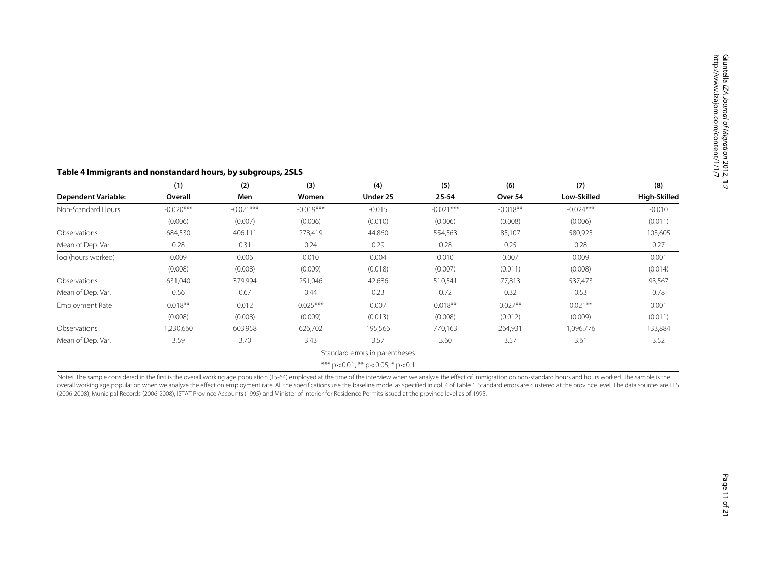# **Table 4 Immigrants and nonstandard hours, by subgroups, 2SLS**

|                            | (1)         | (2)         | (3)         | (4)                                          | (5)         | (6)        | (7)         | (8)          |
|----------------------------|-------------|-------------|-------------|----------------------------------------------|-------------|------------|-------------|--------------|
| <b>Dependent Variable:</b> | Overall     | Men         | Women       | Under 25                                     | 25-54       | Over 54    | Low-Skilled | High-Skilled |
| Non-Standard Hours         | $-0.020***$ | $-0.021***$ | $-0.019***$ | $-0.015$                                     | $-0.021***$ | $-0.018**$ | $-0.024***$ | $-0.010$     |
|                            | (0.006)     | (0.007)     | (0.006)     | (0.010)                                      | (0.006)     | (0.008)    | (0.006)     | (0.011)      |
| Observations               | 684,530     | 406,111     | 278,419     | 44,860                                       | 554,563     | 85,107     | 580,925     | 103,605      |
| Mean of Dep. Var.          | 0.28        | 0.31        | 0.24        | 0.29                                         | 0.28        | 0.25       | 0.28        | 0.27         |
| log (hours worked)         | 0.009       | 0.006       | 0.010       | 0.004                                        | 0.010       | 0.007      | 0.009       | 0.001        |
|                            | (0.008)     | (0.008)     | (0.009)     | (0.018)                                      | (0.007)     | (0.011)    | (0.008)     | (0.014)      |
| Observations               | 631,040     | 379,994     | 251,046     | 42,686                                       | 510,541     | 77,813     | 537,473     | 93,567       |
| Mean of Dep. Var.          | 0.56        | 0.67        | 0.44        | 0.23                                         | 0.72        | 0.32       | 0.53        | 0.78         |
| Employment Rate            | $0.018**$   | 0.012       | $0.025***$  | 0.007                                        | $0.018***$  | $0.027**$  | $0.021**$   | 0.001        |
|                            | (0.008)     | (0.008)     | (0.009)     | (0.013)                                      | (0.008)     | (0.012)    | (0.009)     | (0.011)      |
| Observations               | ,230,660    | 603,958     | 626,702     | 195,566                                      | 770,163     | 264,931    | 1,096,776   | 133,884      |
| Mean of Dep. Var.          | 3.59        | 3.70        | 3.43        | 3.57                                         | 3.60        | 3.57       | 3.61        | 3.52         |
|                            |             |             |             | Standard errors in parentheses               |             |            |             |              |
|                            |             |             |             | *** $p < 0.01$ , ** $p < 0.05$ , * $p < 0.1$ |             |            |             |              |

<span id="page-10-0"></span>Notes: The sample considered in the first is the overall working age population (15-64) employed at the time of the interview when we analyze the effect of immigration on non-standard hours and hours worked. The sample is overall working age population when we analyze the effect on employment rate. All the specifications use the baseline model as specified in col. 4 of Table [1.](#page-6-2) Standard errors are clustered at the province level. The data s (2006-2008), Municipal Records (2006-2008), ISTAT Province Accounts (1995) and Minister of Interior for Residence Permits issued at the province level as of 1995.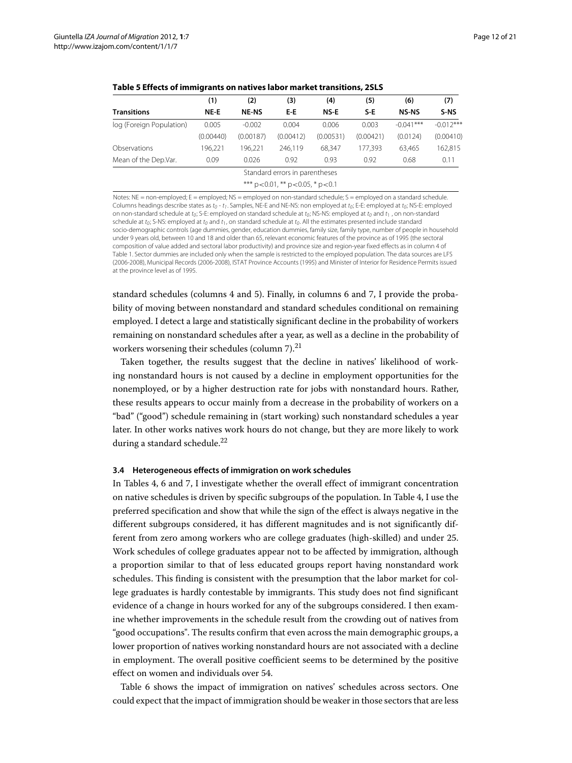<span id="page-11-0"></span>

|                          | (1)       | (2)          | (3)                                          | (4)       | (5)       | (6)          | (7)         |
|--------------------------|-----------|--------------|----------------------------------------------|-----------|-----------|--------------|-------------|
| <b>Transitions</b>       | NE-E      | <b>NE-NS</b> | E-E                                          | NS-E      | $S-E$     | <b>NS-NS</b> | S-NS        |
| log (Foreign Population) | 0.005     | $-0.002$     | 0.004                                        | 0.006     | 0.003     | $-0.041***$  | $-0.012***$ |
|                          | (0.00440) | (0.00187)    | (0.00412)                                    | (0.00531) | (0.00421) | (0.0124)     | (0.00410)   |
| Observations             | 196.221   | 196.221      | 246.119                                      | 68.347    | 177.393   | 63.465       | 162,815     |
| Mean of the Dep.Var.     | 0.09      | 0.026        | 0.92                                         | 0.93      | 0.92      | 0.68         | 0.11        |
|                          |           |              | Standard errors in parentheses               |           |           |              |             |
|                          |           |              | *** $p < 0.01$ , ** $p < 0.05$ , * $p < 0.1$ |           |           |              |             |

**Table 5 Effects of immigrants on natives labor market transitions, 2SLS**

Notes: NE = non-employed; E = employed; NS = employed on non-standard schedule; S = employed on a standard schedule Columns headings describe states as  $t_0$  -  $t_1$ . Samples, NE-E and NE-NS: non employed at  $t_0$ ; E-E: employed at  $t_0$ ; NS-E: employed on non-standard schedule at  $t_0$ ; S-E: employed on standard schedule at  $t_0$ ; NS-NS: employed at  $t_0$  and  $t_1$  , on non-standard schedule at to: S-NS: employed at to and t<sub>1</sub>, on standard schedule at to. All the estimates presented include standard socio-demographic controls (age dummies, gender, education dummies, family size, family type, number of people in household under 9 years old, between 10 and 18 and older than 65, relevant economic features of the province as of 1995 (the sectoral composition of value added and sectoral labor productivity) and province size and region-year fixed effects as in column 4 of Table [1.](#page-6-0) Sector dummies are included only when the sample is restricted to the employed population. The data sources are LFS (2006-2008), Municipal Records (2006-2008), ISTAT Province Accounts (1995) and Minister of Interior for Residence Permits issued at the province level as of 1995.

standard schedules (columns 4 and 5). Finally, in columns 6 and 7, I provide the probability of moving between nonstandard and standard schedules conditional on remaining employed. I detect a large and statistically significant decline in the probability of workers remaining on nonstandard schedules after a year, as well as a decline in the probability of workers worsening their schedules (column 7).<sup>21</sup>

Taken together, the results suggest that the decline in natives' likelihood of working nonstandard hours is not caused by a decline in employment opportunities for the nonemployed, or by a higher destruction rate for jobs with nonstandard hours. Rather, these results appears to occur mainly from a decrease in the probability of workers on a "bad" ("good") schedule remaining in (start working) such nonstandard schedules a year later. In other works natives work hours do not change, but they are more likely to work during a standard schedule.<sup>22</sup>

#### **3.4 Heterogeneous effects of immigration on work schedules**

In Tables [4,](#page-10-0) [6](#page-12-0) and [7,](#page-13-0) I investigate whether the overall effect of immigrant concentration on native schedules is driven by specific subgroups of the population. In Table [4,](#page-10-0) I use the preferred specification and show that while the sign of the effect is always negative in the different subgroups considered, it has different magnitudes and is not significantly different from zero among workers who are college graduates (high-skilled) and under 25. Work schedules of college graduates appear not to be affected by immigration, although a proportion similar to that of less educated groups report having nonstandard work schedules. This finding is consistent with the presumption that the labor market for college graduates is hardly contestable by immigrants. This study does not find significant evidence of a change in hours worked for any of the subgroups considered. I then examine whether improvements in the schedule result from the crowding out of natives from "good occupations". The results confirm that even across the main demographic groups, a lower proportion of natives working nonstandard hours are not associated with a decline in employment. The overall positive coefficient seems to be determined by the positive effect on women and individuals over 54.

Table [6](#page-12-0) shows the impact of immigration on natives' schedules across sectors. One could expect that the impact of immigration should be weaker in those sectors that are less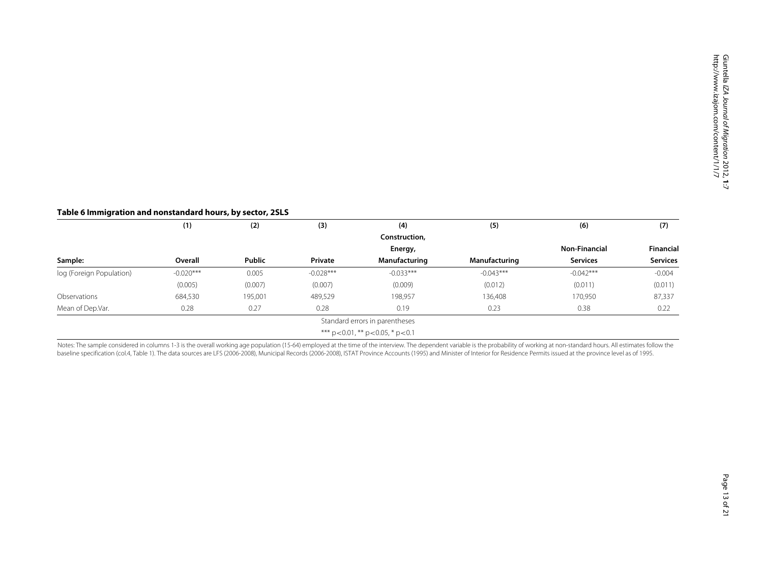# **Table 6 Immigration and nonstandard hours, by sector, 2SLS**

|                          | (1)         | (2)           | (3)         | (4)                                          | (5)           | (6)                  | (7)             |
|--------------------------|-------------|---------------|-------------|----------------------------------------------|---------------|----------------------|-----------------|
|                          |             |               |             | Construction,                                |               |                      |                 |
|                          |             |               |             | Energy,                                      |               | <b>Non-Financial</b> | Financial       |
| Sample:                  | Overall     | <b>Public</b> | Private     | Manufacturing                                | Manufacturing | <b>Services</b>      | <b>Services</b> |
| log (Foreign Population) | $-0.020***$ | 0.005         | $-0.028***$ | $-0.033***$                                  | $-0.043***$   | $-0.042***$          | $-0.004$        |
|                          | (0.005)     | (0.007)       | (0.007)     | (0.009)                                      | (0.012)       | (0.011)              | (0.011)         |
| Observations             | 684,530     | 195,001       | 489,529     | 198,957                                      | 136,408       | 170,950              | 87,337          |
| Mean of Dep.Var.         | 0.28        | 0.27          | 0.28        | 0.19                                         | 0.23          | 0.38                 | 0.22            |
|                          |             |               |             | Standard errors in parentheses               |               |                      |                 |
|                          |             |               |             | *** $p < 0.01$ , ** $p < 0.05$ , * $p < 0.1$ |               |                      |                 |

<span id="page-12-0"></span>Notes: The sample considered in columns 1-3 is the overall working age population (15-64) employed at the time of the interview. The dependent variable is the probability of working at non-standard hours. All estimates fol baseline specification (col.4, Table [1\)](#page-6-2). The data sources are LFS (2006-2008), Municipal Records (2006-2008), ISTAT Province Accounts (1995) and Minister of Interior for Residence Permits issued at the province level as of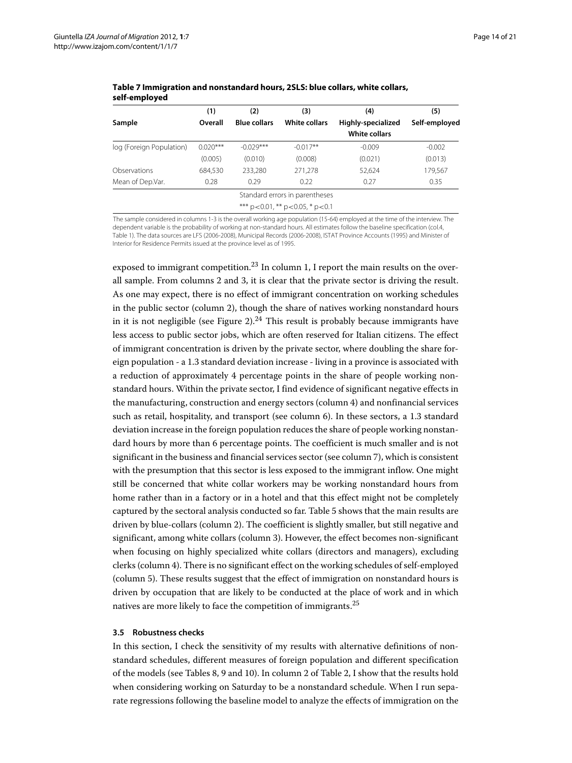|                          | (1)                            | (2)                 | (3)                                          | (4)                  | (5)           |  |  |  |  |  |  |
|--------------------------|--------------------------------|---------------------|----------------------------------------------|----------------------|---------------|--|--|--|--|--|--|
| Sample                   | Overall                        | <b>Blue collars</b> | <b>White collars</b>                         | Highly-specialized   | Self-employed |  |  |  |  |  |  |
|                          |                                |                     |                                              | <b>White collars</b> |               |  |  |  |  |  |  |
| log (Foreign Population) | $0.020***$                     | $-0.029***$         | $-0.017**$                                   | $-0.009$             | $-0.002$      |  |  |  |  |  |  |
|                          | (0.005)                        | (0.010)             | (0.008)                                      | (0.021)              | (0.013)       |  |  |  |  |  |  |
| Observations             | 684.530                        | 233.280             | 271,278                                      | 52.624               | 179,567       |  |  |  |  |  |  |
| Mean of Dep.Var.         | 0.28                           | 0.29                | 0.22                                         | 0.27                 | 0.35          |  |  |  |  |  |  |
|                          | Standard errors in parentheses |                     |                                              |                      |               |  |  |  |  |  |  |
|                          |                                |                     | *** $p < 0.01$ , ** $p < 0.05$ , * $p < 0.1$ |                      |               |  |  |  |  |  |  |

<span id="page-13-0"></span>**Table 7 Immigration and nonstandard hours, 2SLS: blue collars, white collars, self-employed**

The sample considered in columns 1-3 is the overall working age population (15-64) employed at the time of the interview. The dependent variable is the probability of working at non-standard hours. All estimates follow the baseline specification (col.4, Table [1\)](#page-6-0). The data sources are LFS (2006-2008), Municipal Records (2006-2008), ISTAT Province Accounts (1995) and Minister of Interior for Residence Permits issued at the province level as of 1995.

exposed to immigrant competition.<sup>23</sup> In column 1, I report the main results on the overall sample. From columns 2 and 3, it is clear that the private sector is driving the result. As one may expect, there is no effect of immigrant concentration on working schedules in the public sector (column 2), though the share of natives working nonstandard hours in it is not negligible (see Figure [2\)](#page-4-0).<sup>24</sup> This result is probably because immigrants have less access to public sector jobs, which are often reserved for Italian citizens. The effect of immigrant concentration is driven by the private sector, where doubling the share foreign population - a 1.3 standard deviation increase - living in a province is associated with a reduction of approximately 4 percentage points in the share of people working nonstandard hours. Within the private sector, I find evidence of significant negative effects in the manufacturing, construction and energy sectors (column 4) and nonfinancial services such as retail, hospitality, and transport (see column 6). In these sectors, a 1.3 standard deviation increase in the foreign population reduces the share of people working nonstandard hours by more than 6 percentage points. The coefficient is much smaller and is not significant in the business and financial services sector (see column 7), which is consistent with the presumption that this sector is less exposed to the immigrant inflow. One might still be concerned that white collar workers may be working nonstandard hours from home rather than in a factory or in a hotel and that this effect might not be completely captured by the sectoral analysis conducted so far. Table [5](#page-11-0) shows that the main results are driven by blue-collars (column 2). The coefficient is slightly smaller, but still negative and significant, among white collars (column 3). However, the effect becomes non-significant when focusing on highly specialized white collars (directors and managers), excluding clerks (column 4). There is no significant effect on the working schedules of self-employed (column 5). These results suggest that the effect of immigration on nonstandard hours is driven by occupation that are likely to be conducted at the place of work and in which natives are more likely to face the competition of immigrants.<sup>25</sup>

# **3.5 Robustness checks**

In this section, I check the sensitivity of my results with alternative definitions of nonstandard schedules, different measures of foreign population and different specification of the models (see Tables [8,](#page-14-0) [9](#page-14-1) and [10\)](#page-15-1). In column 2 of Table [2,](#page-7-1) I show that the results hold when considering working on Saturday to be a nonstandard schedule. When I run separate regressions following the baseline model to analyze the effects of immigration on the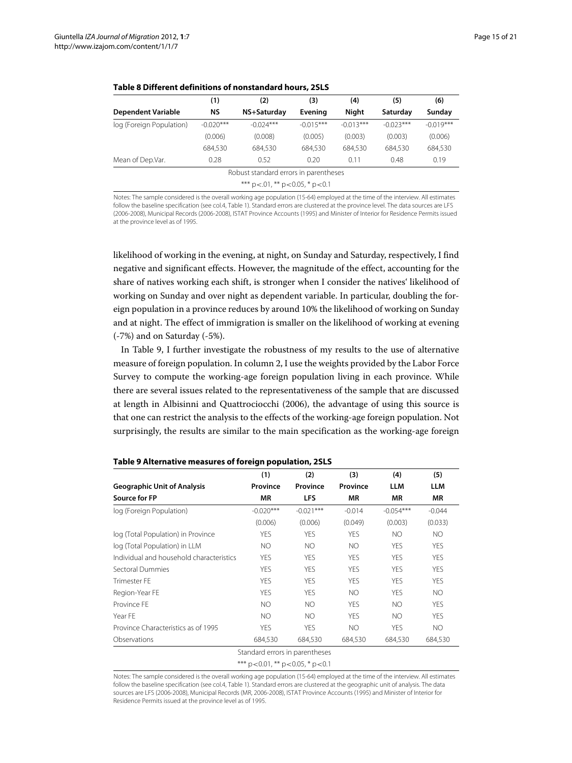<span id="page-14-0"></span>

|                           | (1)         | (2)                                         | (3)         | (4)         | (5)         | (6)         |
|---------------------------|-------------|---------------------------------------------|-------------|-------------|-------------|-------------|
| <b>Dependent Variable</b> | ΝS          | NS+Saturday                                 | Evening     | Night       | Saturday    | Sunday      |
| log (Foreign Population)  | $-0.020***$ | $-0.024***$                                 | $-0.015***$ | $-0.013***$ | $-0.023***$ | $-0.019***$ |
|                           | (0.006)     | (0.008)                                     | (0.005)     | (0.003)     | (0.003)     | (0.006)     |
|                           | 684,530     | 684,530                                     | 684,530     | 684,530     | 684,530     | 684,530     |
| Mean of Dep.Var.          | 0.28        | 0.52                                        | 0.20        | 0.11        | 0.48        | 0.19        |
|                           |             | Robust standard errors in parentheses       |             |             |             |             |
|                           |             | *** $p < .01$ , ** $p < 0.05$ , * $p < 0.1$ |             |             |             |             |

**Table 8 Different definitions of nonstandard hours, 2SLS**

Notes: The sample considered is the overall working age population (15-64) employed at the time of the interview. All estimates follow the baseline specification (see col.4, Table [1\)](#page-6-0). Standard errors are clustered at the province level. The data sources are LFS (2006-2008), Municipal Records (2006-2008), ISTAT Province Accounts (1995) and Minister of Interior for Residence Permits issued at the province level as of 1995.

likelihood of working in the evening, at night, on Sunday and Saturday, respectively, I find negative and significant effects. However, the magnitude of the effect, accounting for the share of natives working each shift, is stronger when I consider the natives' likelihood of working on Sunday and over night as dependent variable. In particular, doubling the foreign population in a province reduces by around 10% the likelihood of working on Sunday and at night. The effect of immigration is smaller on the likelihood of working at evening (-7%) and on Saturday (-5%).

In Table [9,](#page-14-1) I further investigate the robustness of my results to the use of alternative measure of foreign population. In column 2, I use the weights provided by the Labor Force Survey to compute the working-age foreign population living in each province. While there are several issues related to the representativeness of the sample that are discussed at length in Albisinni and Quattrociocchi [\(2006\)](#page-19-7), the advantage of using this source is that one can restrict the analysis to the effects of the working-age foreign population. Not surprisingly, the results are similar to the main specification as the working-age foreign

<span id="page-14-1"></span>

|                                          | (1)                            | (2)         | (3)        | (4)         | (5)        |
|------------------------------------------|--------------------------------|-------------|------------|-------------|------------|
| <b>Geographic Unit of Analysis</b>       | Province                       | Province    | Province   | <b>LLM</b>  | <b>LLM</b> |
| <b>Source for FP</b>                     | <b>MR</b>                      | LFS         | <b>MR</b>  | <b>MR</b>   | <b>MR</b>  |
| log (Foreign Population)                 | $-0.020***$                    | $-0.021***$ | $-0.014$   | $-0.054***$ | $-0.044$   |
|                                          | (0.006)                        | (0.006)     | (0.049)    | (0.003)     | (0.033)    |
| log (Total Population) in Province       | YES                            | <b>YES</b>  | <b>YFS</b> | NO.         | NO         |
| log (Total Population) in LLM            | <b>NO</b>                      | <b>NO</b>   | <b>NO</b>  | <b>YES</b>  | <b>YES</b> |
| Individual and household characteristics | <b>YES</b>                     | <b>YES</b>  | <b>YES</b> | <b>YES</b>  | <b>YES</b> |
| Sectoral Dummies                         | <b>YES</b>                     | <b>YES</b>  | <b>YES</b> | <b>YES</b>  | <b>YES</b> |
| Trimester FF                             | YFS                            | <b>YFS</b>  | <b>YFS</b> | <b>YFS</b>  | <b>YES</b> |
| Region-Year FE                           | YES                            | <b>YES</b>  | NO.        | <b>YES</b>  | NO         |
| Province FF                              | NO.                            | NO.         | <b>YES</b> | <b>NO</b>   | <b>YES</b> |
| Year FE                                  | <b>NO</b>                      | <b>NO</b>   | <b>YES</b> | <b>NO</b>   | <b>YES</b> |
| Province Characteristics as of 1995      | YES                            | <b>YES</b>  | NO.        | <b>YES</b>  | NO.        |
| Observations                             | 684,530                        | 684,530     | 684,530    | 684,530     | 684,530    |
|                                          | Standard errors in parentheses |             |            |             |            |

**Table 9 Alternative measures of foreign population, 2SLS**

\*\*\* p*<*0.01, \*\* p*<*0.05, \* p*<*0.1

Notes: The sample considered is the overall working age population (15-64) employed at the time of the interview. All estimates follow the baseline specification (see col.4, Table [1\)](#page-6-0). Standard errors are clustered at the geographic unit of analysis. The data sources are LFS (2006-2008), Municipal Records (MR, 2006-2008), ISTAT Province Accounts (1995) and Minister of Interior for Residence Permits issued at the province level as of 1995.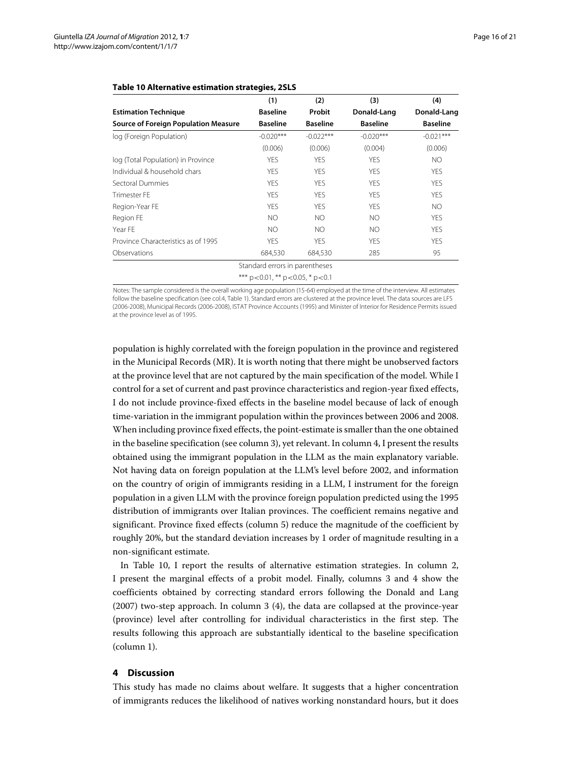|                                             | (1)                                          | (2)             | (3)             | (4)             |
|---------------------------------------------|----------------------------------------------|-----------------|-----------------|-----------------|
| <b>Estimation Technique</b>                 | <b>Baseline</b>                              | Probit          | Donald-Lang     | Donald-Lang     |
| <b>Source of Foreign Population Measure</b> | <b>Baseline</b>                              | <b>Baseline</b> | <b>Baseline</b> | <b>Baseline</b> |
| log (Foreign Population)                    | $-0.020***$                                  | $-0.022***$     | $-0.020***$     | $-0.021***$     |
|                                             | (0.006)                                      | (0.006)         | (0.004)         | (0.006)         |
| log (Total Population) in Province          | <b>YES</b>                                   | <b>YES</b>      | <b>YES</b>      | NO.             |
| Individual & household chars                | <b>YES</b>                                   | <b>YES</b>      | <b>YES</b>      | <b>YES</b>      |
| Sectoral Dummies                            | <b>YES</b>                                   | <b>YES</b>      | <b>YES</b>      | <b>YES</b>      |
| <b>Trimester FE</b>                         | <b>YES</b>                                   | <b>YES</b>      | <b>YES</b>      | <b>YES</b>      |
| Region-Year FE                              | <b>YFS</b>                                   | <b>YES</b>      | <b>YES</b>      | NO.             |
| Region FE                                   | NO.                                          | NO.             | NO              | <b>YES</b>      |
| Year FE                                     | NO.                                          | NO.             | NO              | <b>YES</b>      |
| Province Characteristics as of 1995         | <b>YES</b>                                   | <b>YES</b>      | <b>YES</b>      | <b>YES</b>      |
| Observations                                | 684,530                                      | 684,530         | 285             | 95              |
|                                             | Standard errors in parentheses               |                 |                 |                 |
|                                             | *** $p < 0.01$ , ** $p < 0.05$ , * $p < 0.1$ |                 |                 |                 |

# <span id="page-15-1"></span>**Table 10 Alternative estimation strategies, 2SLS**

Notes: The sample considered is the overall working age population (15-64) employed at the time of the interview. All estimates follow the baseline specification (see col.4, Table [1\)](#page-6-0). Standard errors are clustered at the province level. The data sources are LFS (2006-2008), Municipal Records (2006-2008), ISTAT Province Accounts (1995) and Minister of Interior for Residence Permits issued at the province level as of 1995.

population is highly correlated with the foreign population in the province and registered in the Municipal Records (MR). It is worth noting that there might be unobserved factors at the province level that are not captured by the main specification of the model. While I control for a set of current and past province characteristics and region-year fixed effects, I do not include province-fixed effects in the baseline model because of lack of enough time-variation in the immigrant population within the provinces between 2006 and 2008. When including province fixed effects, the point-estimate is smaller than the one obtained in the baseline specification (see column 3), yet relevant. In column 4, I present the results obtained using the immigrant population in the LLM as the main explanatory variable. Not having data on foreign population at the LLM's level before 2002, and information on the country of origin of immigrants residing in a LLM, I instrument for the foreign population in a given LLM with the province foreign population predicted using the 1995 distribution of immigrants over Italian provinces. The coefficient remains negative and significant. Province fixed effects (column 5) reduce the magnitude of the coefficient by roughly 20%, but the standard deviation increases by 1 order of magnitude resulting in a non-significant estimate.

In Table [10,](#page-15-1) I report the results of alternative estimation strategies. In column 2, I present the marginal effects of a probit model. Finally, columns 3 and 4 show the coefficients obtained by correcting standard errors following the Donald and Lang [\(2007\)](#page-20-27) two-step approach. In column 3 (4), the data are collapsed at the province-year (province) level after controlling for individual characteristics in the first step. The results following this approach are substantially identical to the baseline specification (column 1).

# <span id="page-15-0"></span>**4 Discussion**

This study has made no claims about welfare. It suggests that a higher concentration of immigrants reduces the likelihood of natives working nonstandard hours, but it does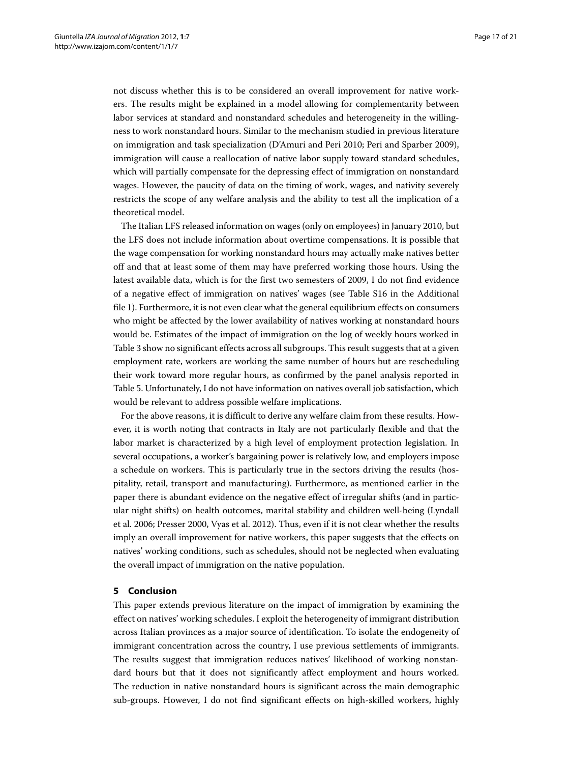not discuss whether this is to be considered an overall improvement for native workers. The results might be explained in a model allowing for complementarity between labor services at standard and nonstandard schedules and heterogeneity in the willingness to work nonstandard hours. Similar to the mechanism studied in previous literature on immigration and task specialization (D'Amuri and Peri [2010;](#page-20-17) Peri and Sparber [2009\)](#page-20-18), immigration will cause a reallocation of native labor supply toward standard schedules, which will partially compensate for the depressing effect of immigration on nonstandard wages. However, the paucity of data on the timing of work, wages, and nativity severely restricts the scope of any welfare analysis and the ability to test all the implication of a theoretical model.

The Italian LFS released information on wages (only on employees) in January 2010, but the LFS does not include information about overtime compensations. It is possible that the wage compensation for working nonstandard hours may actually make natives better off and that at least some of them may have preferred working those hours. Using the latest available data, which is for the first two semesters of 2009, I do not find evidence of a negative effect of immigration on natives' wages (see Table S16 in the Additional file [1\)](#page-19-4). Furthermore, it is not even clear what the general equilibrium effects on consumers who might be affected by the lower availability of natives working at nonstandard hours would be. Estimates of the impact of immigration on the log of weekly hours worked in Table [3](#page-9-0) show no significant effects across all subgroups. This result suggests that at a given employment rate, workers are working the same number of hours but are rescheduling their work toward more regular hours, as confirmed by the panel analysis reported in Table [5.](#page-11-0) Unfortunately, I do not have information on natives overall job satisfaction, which would be relevant to address possible welfare implications.

For the above reasons, it is difficult to derive any welfare claim from these results. However, it is worth noting that contracts in Italy are not particularly flexible and that the labor market is characterized by a high level of employment protection legislation. In several occupations, a worker's bargaining power is relatively low, and employers impose a schedule on workers. This is particularly true in the sectors driving the results (hospitality, retail, transport and manufacturing). Furthermore, as mentioned earlier in the paper there is abundant evidence on the negative effect of irregular shifts (and in particular night shifts) on health outcomes, marital stability and children well-being (Lyndall et al. [2006;](#page-20-10) Presser [2000,](#page-20-9) Vyas et al. [2012\)](#page-20-8). Thus, even if it is not clear whether the results imply an overall improvement for native workers, this paper suggests that the effects on natives' working conditions, such as schedules, should not be neglected when evaluating the overall impact of immigration on the native population.

# <span id="page-16-0"></span>**5 Conclusion**

This paper extends previous literature on the impact of immigration by examining the effect on natives' working schedules. I exploit the heterogeneity of immigrant distribution across Italian provinces as a major source of identification. To isolate the endogeneity of immigrant concentration across the country, I use previous settlements of immigrants. The results suggest that immigration reduces natives' likelihood of working nonstandard hours but that it does not significantly affect employment and hours worked. The reduction in native nonstandard hours is significant across the main demographic sub-groups. However, I do not find significant effects on high-skilled workers, highly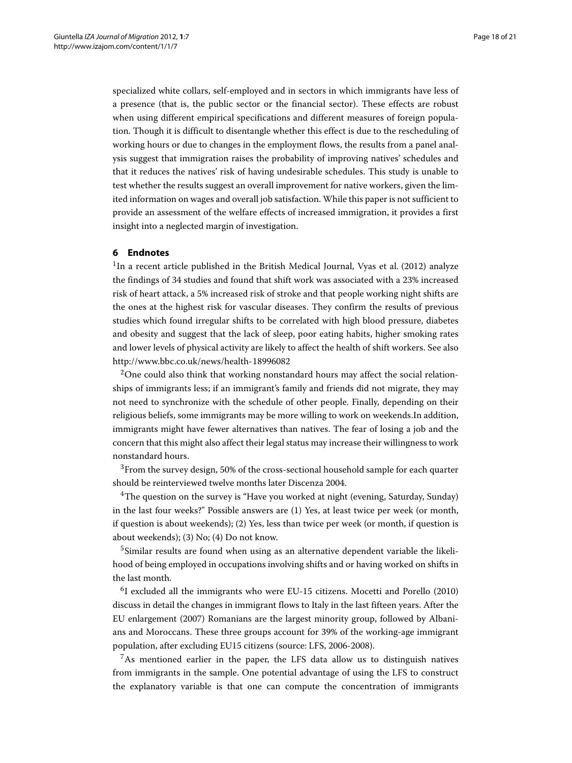specialized white collars, self-employed and in sectors in which immigrants have less of a presence (that is, the public sector or the financial sector). These effects are robust when using different empirical specifications and different measures of foreign population. Though it is difficult to disentangle whether this effect is due to the rescheduling of working hours or due to changes in the employment flows, the results from a panel analysis suggest that immigration raises the probability of improving natives' schedules and that it reduces the natives' risk of having undesirable schedules. This study is unable to test whether the results suggest an overall improvement for native workers, given the limited information on wages and overall job satisfaction. While this paper is not sufficient to provide an assessment of the welfare effects of increased immigration, it provides a first insight into a neglected margin of investigation.

# **6 Endnotes**

 $1$ In a recent article published in the British Medical Journal, Vyas et al. [\(2012\)](#page-20-8) analyze the findings of 34 studies and found that shift work was associated with a 23% increased risk of heart attack, a 5% increased risk of stroke and that people working night shifts are the ones at the highest risk for vascular diseases. They confirm the results of previous studies which found irregular shifts to be correlated with high blood pressure, diabetes and obesity and suggest that the lack of sleep, poor eating habits, higher smoking rates and lower levels of physical activity are likely to affect the health of shift workers. See also <http://www.bbc.co.uk/news/health-18996082>

<sup>2</sup>One could also think that working nonstandard hours may affect the social relationships of immigrants less; if an immigrant's family and friends did not migrate, they may not need to synchronize with the schedule of other people. Finally, depending on their religious beliefs, some immigrants may be more willing to work on weekends.In addition, immigrants might have fewer alternatives than natives. The fear of losing a job and the concern that this might also affect their legal status may increase their willingness to work nonstandard hours.

 $3$ From the survey design, 50% of the cross-sectional household sample for each quarter should be reinterviewed twelve months later Discenza [2004.](#page-20-28)

 $4$ The question on the survey is "Have you worked at night (evening, Saturday, Sunday) in the last four weeks?" Possible answers are (1) Yes, at least twice per week (or month, if question is about weekends); (2) Yes, less than twice per week (or month, if question is about weekends); (3) No; (4) Do not know.

<sup>5</sup>Similar results are found when using as an alternative dependent variable the likelihood of being employed in occupations involving shifts and or having worked on shifts in the last month.

6I excluded all the immigrants who were EU-15 citizens. Mocetti and Porello [\(2010\)](#page-20-26) discuss in detail the changes in immigrant flows to Italy in the last fifteen years. After the EU enlargement (2007) Romanians are the largest minority group, followed by Albanians and Moroccans. These three groups account for 39% of the working-age immigrant population, after excluding EU15 citizens (source: LFS, 2006-2008).

<sup>7</sup>As mentioned earlier in the paper, the LFS data allow us to distinguish natives from immigrants in the sample. One potential advantage of using the LFS to construct the explanatory variable is that one can compute the concentration of immigrants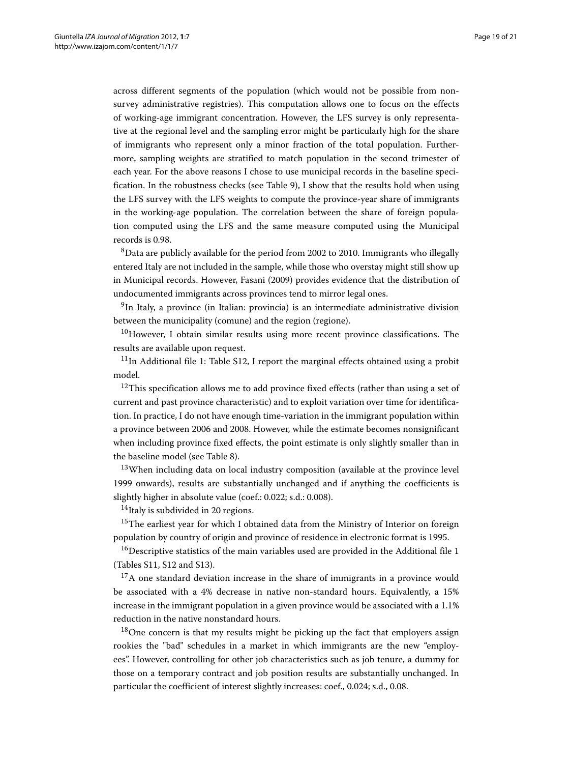across different segments of the population (which would not be possible from nonsurvey administrative registries). This computation allows one to focus on the effects of working-age immigrant concentration. However, the LFS survey is only representative at the regional level and the sampling error might be particularly high for the share of immigrants who represent only a minor fraction of the total population. Furthermore, sampling weights are stratified to match population in the second trimester of each year. For the above reasons I chose to use municipal records in the baseline specification. In the robustness checks (see Table [9\)](#page-14-1), I show that the results hold when using the LFS survey with the LFS weights to compute the province-year share of immigrants in the working-age population. The correlation between the share of foreign population computed using the LFS and the same measure computed using the Municipal records is 0.98.

8Data are publicly available for the period from 2002 to 2010. Immigrants who illegally entered Italy are not included in the sample, while those who overstay might still show up in Municipal records. However, Fasani [\(2009\)](#page-20-29) provides evidence that the distribution of undocumented immigrants across provinces tend to mirror legal ones.

9In Italy, a province (in Italian: provincia) is an intermediate administrative division between the municipality (comune) and the region (regione).

 $10$ However, I obtain similar results using more recent province classifications. The results are available upon request.

 $11$ In Additional file [1:](#page-19-4) Table S12, I report the marginal effects obtained using a probit model.

 $12$ This specification allows me to add province fixed effects (rather than using a set of current and past province characteristic) and to exploit variation over time for identification. In practice, I do not have enough time-variation in the immigrant population within a province between 2006 and 2008. However, while the estimate becomes nonsignificant when including province fixed effects, the point estimate is only slightly smaller than in the baseline model (see Table [8\)](#page-14-0).

<sup>13</sup>When including data on local industry composition (available at the province level 1999 onwards), results are substantially unchanged and if anything the coefficients is slightly higher in absolute value (coef.: 0.022; s.d.: 0.008).

 $14$ Italy is subdivided in 20 regions.

<sup>15</sup>The earliest year for which I obtained data from the Ministry of Interior on foreign population by country of origin and province of residence in electronic format is 1995.

<sup>16</sup>Descriptive statistics of the main variables used are provided in the Additional file [1](#page-19-4) (Tables S11, S12 and S13).

 $17A$  one standard deviation increase in the share of immigrants in a province would be associated with a 4% decrease in native non-standard hours. Equivalently, a 15% increase in the immigrant population in a given province would be associated with a 1.1% reduction in the native nonstandard hours.

 $18$ One concern is that my results might be picking up the fact that employers assign rookies the "bad" schedules in a market in which immigrants are the new "employees". However, controlling for other job characteristics such as job tenure, a dummy for those on a temporary contract and job position results are substantially unchanged. In particular the coefficient of interest slightly increases: coef., 0.024; s.d., 0.08.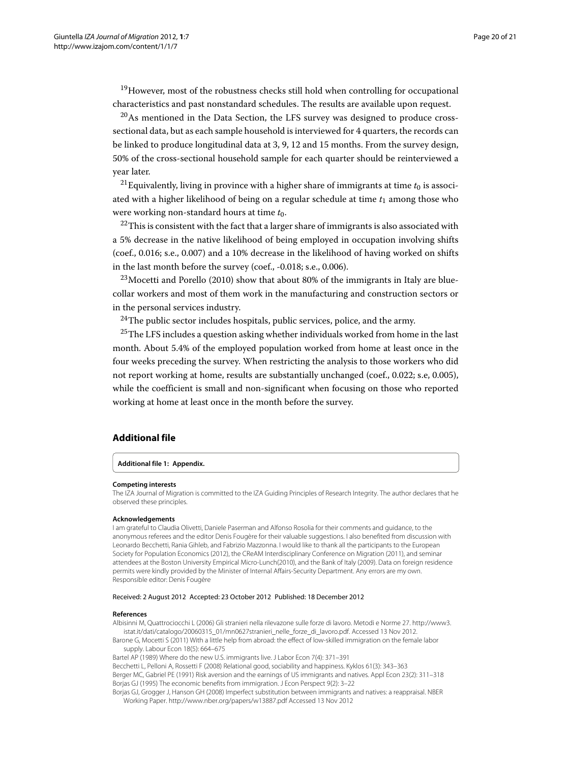<sup>19</sup>However, most of the robustness checks still hold when controlling for occupational characteristics and past nonstandard schedules. The results are available upon request.

 $20$ As mentioned in the Data Section, the LFS survey was designed to produce crosssectional data, but as each sample household is interviewed for 4 quarters, the records can be linked to produce longitudinal data at 3, 9, 12 and 15 months. From the survey design, 50% of the cross-sectional household sample for each quarter should be reinterviewed a year later.

<sup>21</sup> Equivalently, living in province with a higher share of immigrants at time  $t_0$  is associated with a higher likelihood of being on a regular schedule at time *t*<sup>1</sup> among those who were working non-standard hours at time  $t_0$ .

 $^{22}$ This is consistent with the fact that a larger share of immigrants is also associated with a 5% decrease in the native likelihood of being employed in occupation involving shifts (coef., 0.016; s.e., 0.007) and a 10% decrease in the likelihood of having worked on shifts in the last month before the survey (coef., -0.018; s.e., 0.006).

 $^{23}$ Mocetti and Porello [\(2010\)](#page-20-26) show that about 80% of the immigrants in Italy are bluecollar workers and most of them work in the manufacturing and construction sectors or in the personal services industry.

 $24$ The public sector includes hospitals, public services, police, and the army.

 $25$ The LFS includes a question asking whether individuals worked from home in the last month. About 5.4% of the employed population worked from home at least once in the four weeks preceding the survey. When restricting the analysis to those workers who did not report working at home, results are substantially unchanged (coef., 0.022; s.e, 0.005), while the coefficient is small and non-significant when focusing on those who reported working at home at least once in the month before the survey.

# **Additional file**

# <span id="page-19-4"></span>**[Additional file 1:](http://www.biomedcentral.com/content/supplementary/2193-9039-1-7-S1.pdf) Appendix.**

#### **Competing interests**

The IZA Journal of Migration is committed to the IZA Guiding Principles of Research Integrity. The author declares that he observed these principles.

# **Acknowledgements**

I am grateful to Claudia Olivetti, Daniele Paserman and Alfonso Rosolia for their comments and guidance, to the anonymous referees and the editor Denis Fougère for their valuable suggestions. I also benefited from discussion with Leonardo Becchetti, Rania Gihleb, and Fabrizio Mazzonna. I would like to thank all the participants to the European Society for Population Economics (2012), the CReAM Interdisciplinary Conference on Migration (2011), and seminar attendees at the Boston University Empirical Micro-Lunch(2010), and the Bank of Italy (2009). Data on foreign residence permits were kindly provided by the Minister of Internal Affairs-Security Department. Any errors are my own. Responsible editor: Denis Fougère

#### Received: 2 August 2012 Accepted: 23 October 2012 Published: 18 December 2012

#### **References**

<span id="page-19-7"></span>Albisinni M, Quattrociocchi L (2006) Gli stranieri nella rilevazone sulle forze di lavoro. Metodi e Norme 27. [http://www3.](http://www3.istat.it/dati/catalogo/20060315_01/mn0627stranieri_nelle_forze_di_lavoro.pdf) [istat.it/dati/catalogo/20060315\\_01/mn0627stranieri\\_nelle\\_forze\\_di\\_lavoro.pdf.](http://www3.istat.it/dati/catalogo/20060315_01/mn0627stranieri_nelle_forze_di_lavoro.pdf) Accessed 13 Nov 2012.

<span id="page-19-6"></span>Barone G, Mocetti S (2011) With a little help from abroad: the effect of low-skilled immigration on the female labor supply. Labour Econ 18(5): 664–675

<span id="page-19-5"></span>Bartel AP (1989) Where do the new U.S. immigrants live. J Labor Econ 7(4): 371–391

<span id="page-19-3"></span><span id="page-19-2"></span>Becchetti L, Pelloni A, Rossetti F (2008) Relational good, sociability and happiness. Kyklos 61(3): 343–363 Berger MC, Gabriel PE (1991) Risk aversion and the earnings of US immigrants and natives. Appl Econ 23(2): 311–318 Borjas GJ (1995) The economic benefits from immigration. J Econ Perspect 9(2): 3–22 Borjas GJ, Grogger J, Hanson GH (2008) Imperfect substitution between immigrants and natives: a reappraisal. NBER

<span id="page-19-1"></span><span id="page-19-0"></span>Working Paper.<http://www.nber.org/papers/w13887.pdf> Accessed 13 Nov 2012